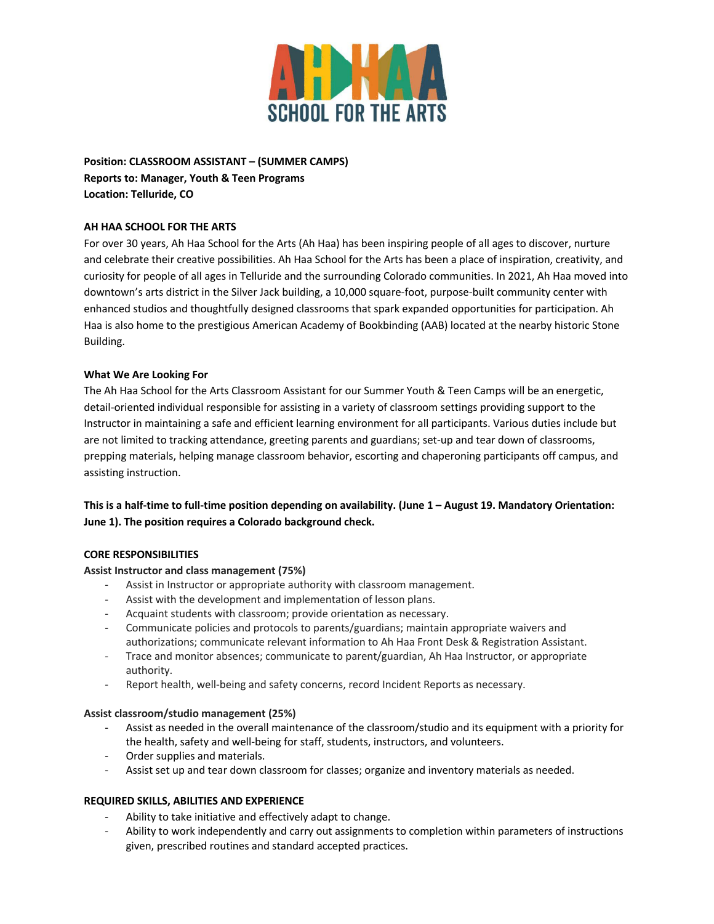

**Position: CLASSROOM ASSISTANT – (SUMMER CAMPS) Reports to: Manager, Youth & Teen Programs Location: Telluride, CO**

## **AH HAA SCHOOL FOR THE ARTS**

For over 30 years, Ah Haa School for the Arts (Ah Haa) has been inspiring people of all ages to discover, nurture and celebrate their creative possibilities. Ah Haa School for the Arts has been a place of inspiration, creativity, and curiosity for people of all ages in Telluride and the surrounding Colorado communities. In 2021, Ah Haa moved into downtown's arts district in the Silver Jack building, a 10,000 square-foot, purpose-built community center with enhanced studios and thoughtfully designed classrooms that spark expanded opportunities for participation. Ah Haa is also home to the prestigious American Academy of Bookbinding (AAB) located at the nearby historic Stone Building.

### **What We Are Looking For**

The Ah Haa School for the Arts Classroom Assistant for our Summer Youth & Teen Camps will be an energetic, detail-oriented individual responsible for assisting in a variety of classroom settings providing support to the Instructor in maintaining a safe and efficient learning environment for all participants. Various duties include but are not limited to tracking attendance, greeting parents and guardians; set-up and tear down of classrooms, prepping materials, helping manage classroom behavior, escorting and chaperoning participants off campus, and assisting instruction.

# **This is a half-time to full-time position depending on availability. (June 1 – August 19. Mandatory Orientation: June 1). The position requires a Colorado background check.**

### **CORE RESPONSIBILITIES**

### **Assist Instructor and class management (75%)**

- Assist in Instructor or appropriate authority with classroom management.
- Assist with the development and implementation of lesson plans.
- Acquaint students with classroom; provide orientation as necessary.
- Communicate policies and protocols to parents/guardians; maintain appropriate waivers and authorizations; communicate relevant information to Ah Haa Front Desk & Registration Assistant.
- Trace and monitor absences; communicate to parent/guardian, Ah Haa Instructor, or appropriate authority.
- Report health, well-being and safety concerns, record Incident Reports as necessary.

#### **Assist classroom/studio management (25%)**

- Assist as needed in the overall maintenance of the classroom/studio and its equipment with a priority for the health, safety and well-being for staff, students, instructors, and volunteers.
- Order supplies and materials.
- Assist set up and tear down classroom for classes; organize and inventory materials as needed.

### **REQUIRED SKILLS, ABILITIES AND EXPERIENCE**

- Ability to take initiative and effectively adapt to change.
- Ability to work independently and carry out assignments to completion within parameters of instructions given, prescribed routines and standard accepted practices.